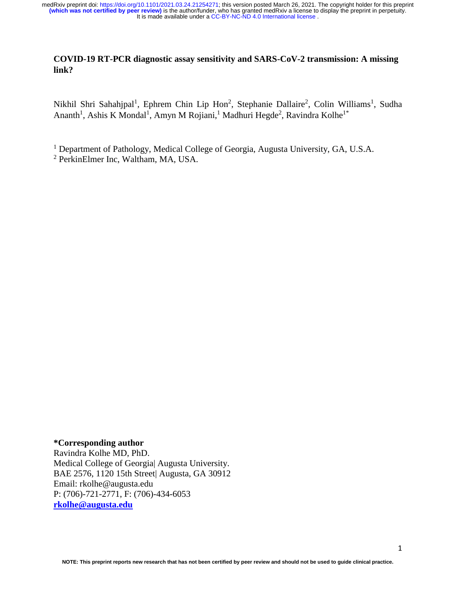It is made available under a [CC-BY-NC-ND 4.0 International license](http://creativecommons.org/licenses/by-nc-nd/4.0/) . medRxiv preprint doi: [https://doi.org/10.1101/2021.03.24.21254271;](https://doi.org/10.1101/2021.03.24.21254271) this version posted March 26, 2021. The copyright holder for this preprint<br>(**which was not certified by peer review)** is the author/funder, who has granted

### **COVID-19 RT-PCR diagnostic assay sensitivity and SARS-CoV-2 transmission: A missing link?**

Nikhil Shri Sahahjpal<sup>1</sup>, Ephrem Chin Lip Hon<sup>2</sup>, Stephanie Dallaire<sup>2</sup>, Colin Williams<sup>1</sup>, Sudha Ananth<sup>1</sup>, Ashis K Mondal<sup>1</sup>, Amyn M Rojiani,<sup>1</sup> Madhuri Hegde<sup>2</sup>, Ravindra Kolhe<sup>1\*</sup>

<sup>1</sup> Department of Pathology, Medical College of Georgia, Augusta University, GA, U.S.A.

<sup>2</sup> PerkinElmer Inc, Waltham, MA, USA.

#### **\*Corresponding author**

Ravindra Kolhe MD, PhD. Medical College of Georgia| Augusta University. BAE 2576, 1120 15th Street| Augusta, GA 30912 Email: rkolhe@augusta.edu P: (706)-721-2771, F: (706)-434-6053 **[rkolhe@augusta.edu](mailto:rkolhe@augusta.edu)**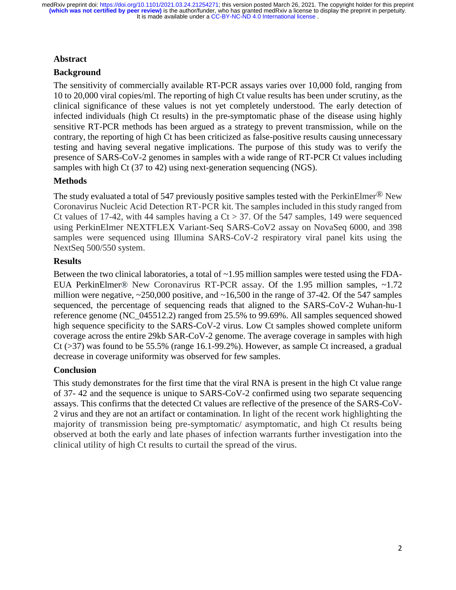### **Abstract**

### **Background**

The sensitivity of commercially available RT-PCR assays varies over 10,000 fold, ranging from 10 to 20,000 viral copies/ml. The reporting of high Ct value results has been under scrutiny, as the clinical significance of these values is not yet completely understood. The early detection of infected individuals (high Ct results) in the pre-symptomatic phase of the disease using highly sensitive RT-PCR methods has been argued as a strategy to prevent transmission, while on the contrary, the reporting of high Ct has been criticized as false-positive results causing unnecessary testing and having several negative implications. The purpose of this study was to verify the presence of SARS-CoV-2 genomes in samples with a wide range of RT-PCR Ct values including samples with high Ct (37 to 42) using next-generation sequencing (NGS).

### **Methods**

The study evaluated a total of 547 previously positive samples tested with the PerkinElmer<sup>®</sup> New Coronavirus Nucleic Acid Detection RT-PCR kit. The samples included in this study ranged from Ct values of 17-42, with 44 samples having a  $Ct > 37$ . Of the 547 samples, 149 were sequenced using PerkinElmer NEXTFLEX Variant-Seq SARS-CoV2 assay on NovaSeq 6000, and 398 samples were sequenced using Illumina SARS-CoV-2 respiratory viral panel kits using the NextSeq 500/550 system.

#### **Results**

Between the two clinical laboratories, a total of ~1.95 million samples were tested using the FDA-EUA PerkinElmer® New Coronavirus RT-PCR assay. Of the 1.95 million samples, ~1.72 million were negative,  $\approx$  250,000 positive, and  $\sim$  16,500 in the range of 37-42. Of the 547 samples sequenced, the percentage of sequencing reads that aligned to the SARS-CoV-2 Wuhan-hu-1 reference genome (NC\_045512.2) ranged from 25.5% to 99.69%. All samples sequenced showed high sequence specificity to the SARS-CoV-2 virus. Low Ct samples showed complete uniform coverage across the entire 29kb SAR-CoV-2 genome. The average coverage in samples with high Ct (>37) was found to be 55.5% (range 16.1-99.2%). However, as sample Ct increased, a gradual decrease in coverage uniformity was observed for few samples.

# **Conclusion**

This study demonstrates for the first time that the viral RNA is present in the high Ct value range of 37- 42 and the sequence is unique to SARS-CoV-2 confirmed using two separate sequencing assays. This confirms that the detected Ct values are reflective of the presence of the SARS-CoV-2 virus and they are not an artifact or contamination. In light of the recent work highlighting the majority of transmission being pre-symptomatic/ asymptomatic, and high Ct results being observed at both the early and late phases of infection warrants further investigation into the clinical utility of high Ct results to curtail the spread of the virus.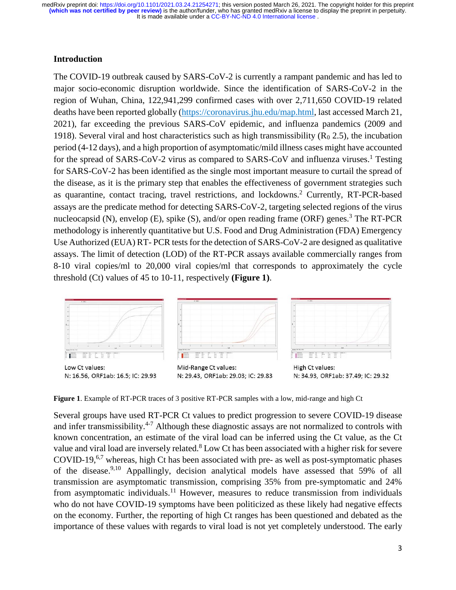#### **Introduction**

The COVID-19 outbreak caused by SARS-CoV-2 is currently a rampant pandemic and has led to major socio-economic disruption worldwide. Since the identification of SARS-CoV-2 in the region of Wuhan, China, 122,941,299 confirmed cases with over 2,711,650 COVID-19 related deaths have been reported globally [\(https://coronavirus.jhu.edu/map.html,](https://coronavirus.jhu.edu/map.html) last accessed March 21, 2021), far exceeding the previous SARS-CoV epidemic, and influenza pandemics (2009 and 1918). Several viral and host characteristics such as high transmissibility ( $R_0$  2.5), the incubation period (4-12 days), and a high proportion of asymptomatic/mild illness cases might have accounted for the spread of SARS-CoV-2 virus as compared to SARS-CoV and influenza viruses.<sup>1</sup> Testing for SARS-CoV-2 has been identified as the single most important measure to curtail the spread of the disease, as it is the primary step that enables the effectiveness of government strategies such as quarantine, contact tracing, travel restrictions, and lockdowns.<sup>2</sup> Currently, RT-PCR-based assays are the predicate method for detecting SARS-CoV-2, targeting selected regions of the virus nucleocapsid (N), envelop (E), spike (S), and/or open reading frame (ORF) genes.<sup>3</sup> The RT-PCR methodology is inherently quantitative but U.S. Food and Drug Administration (FDA) Emergency Use Authorized (EUA) RT- PCR tests for the detection of SARS-CoV-2 are designed as qualitative assays. The limit of detection (LOD) of the RT-PCR assays available commercially ranges from 8-10 viral copies/ml to 20,000 viral copies/ml that corresponds to approximately the cycle threshold (Ct) values of 45 to 10-11, respectively **(Figure 1)**.



**Figure 1**. Example of RT-PCR traces of 3 positive RT-PCR samples with a low, mid-range and high Ct

Several groups have used RT-PCR Ct values to predict progression to severe COVID-19 disease and infer transmissibility.<sup>4-7</sup> Although these diagnostic assays are not normalized to controls with known concentration, an estimate of the viral load can be inferred using the Ct value, as the Ct value and viral load are inversely related.<sup>8</sup> Low Ct has been associated with a higher risk for severe COVID-19,<sup>6,7</sup> whereas, high Ct has been associated with pre- as well as post-symptomatic phases of the disease. 9,10 Appallingly, decision analytical models have assessed that 59% of all transmission are asymptomatic transmission, comprising 35% from pre-symptomatic and 24% from asymptomatic individuals.<sup>11</sup> However, measures to reduce transmission from individuals who do not have COVID-19 symptoms have been politicized as these likely had negative effects on the economy. Further, the reporting of high Ct ranges has been questioned and debated as the importance of these values with regards to viral load is not yet completely understood. The early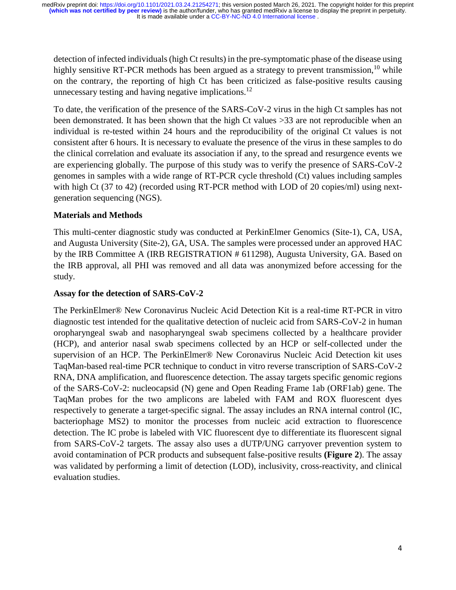detection of infected individuals (high Ct results) in the pre-symptomatic phase of the disease using highly sensitive RT-PCR methods has been argued as a strategy to prevent transmission,  $10$  while on the contrary, the reporting of high Ct has been criticized as false-positive results causing unnecessary testing and having negative implications.<sup>12</sup>

To date, the verification of the presence of the SARS-CoV-2 virus in the high Ct samples has not been demonstrated. It has been shown that the high Ct values >33 are not reproducible when an individual is re-tested within 24 hours and the reproducibility of the original Ct values is not consistent after 6 hours. It is necessary to evaluate the presence of the virus in these samples to do the clinical correlation and evaluate its association if any, to the spread and resurgence events we are experiencing globally. The purpose of this study was to verify the presence of SARS-CoV-2 genomes in samples with a wide range of RT-PCR cycle threshold (Ct) values including samples with high Ct (37 to 42) (recorded using RT-PCR method with LOD of 20 copies/ml) using nextgeneration sequencing (NGS).

# **Materials and Methods**

This multi-center diagnostic study was conducted at PerkinElmer Genomics (Site-1), CA, USA, and Augusta University (Site-2), GA, USA. The samples were processed under an approved HAC by the IRB Committee A (IRB REGISTRATION # 611298), Augusta University, GA. Based on the IRB approval, all PHI was removed and all data was anonymized before accessing for the study.

#### **Assay for the detection of SARS-CoV-2**

The PerkinElmer® New Coronavirus Nucleic Acid Detection Kit is a real-time RT-PCR in vitro diagnostic test intended for the qualitative detection of nucleic acid from SARS-CoV-2 in human oropharyngeal swab and nasopharyngeal swab specimens collected by a healthcare provider (HCP), and anterior nasal swab specimens collected by an HCP or self-collected under the supervision of an HCP. The PerkinElmer® New Coronavirus Nucleic Acid Detection kit uses TaqMan-based real-time PCR technique to conduct in vitro reverse transcription of SARS-CoV-2 RNA, DNA amplification, and fluorescence detection. The assay targets specific genomic regions of the SARS-CoV-2: nucleocapsid (N) gene and Open Reading Frame 1ab (ORF1ab) gene. The TaqMan probes for the two amplicons are labeled with FAM and ROX fluorescent dyes respectively to generate a target-specific signal. The assay includes an RNA internal control (IC, bacteriophage MS2) to monitor the processes from nucleic acid extraction to fluorescence detection. The IC probe is labeled with VIC fluorescent dye to differentiate its fluorescent signal from SARS-CoV-2 targets. The assay also uses a dUTP/UNG carryover prevention system to avoid contamination of PCR products and subsequent false-positive results **(Figure 2**). The assay was validated by performing a limit of detection (LOD), inclusivity, cross-reactivity, and clinical evaluation studies.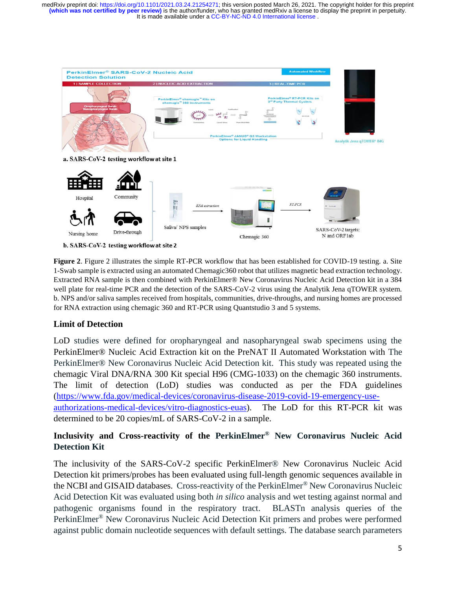

**Figure 2**. Figure 2 illustrates the simple RT-PCR workflow that has been established for COVID-19 testing. a. Site 1-Swab sample is extracted using an automated Chemagic360 robot that utilizes magnetic bead extraction technology. Extracted RNA sample is then combined with PerkinElmer® New Coronavirus Nucleic Acid Detection kit in a 384 well plate for real-time PCR and the detection of the SARS-CoV-2 virus using the Analytik Jena qTOWER system. b. NPS and/or saliva samples received from hospitals, communities, drive-throughs, and nursing homes are processed for RNA extraction using chemagic 360 and RT-PCR using Quantstudio 3 and 5 systems.

# **Limit of Detection**

LoD studies were defined for oropharyngeal and nasopharyngeal swab specimens using the PerkinElmer® Nucleic Acid Extraction kit on the PreNAT II Automated Workstation with The PerkinElmer® New Coronavirus Nucleic Acid Detection kit. This study was repeated using the chemagic Viral DNA/RNA 300 Kit special H96 (CMG-1033) on the chemagic 360 instruments. The limit of detection (LoD) studies was conducted as per the FDA guidelines [\(https://www.fda.gov/medical-devices/coronavirus-disease-2019-covid-19-emergency-use](https://www.fda.gov/medical-devices/coronavirus-disease-2019-covid-19-emergency-use-authorizations-medical-devices/vitro-diagnostics-euas)[authorizations-medical-devices/vitro-diagnostics-euas\)](https://www.fda.gov/medical-devices/coronavirus-disease-2019-covid-19-emergency-use-authorizations-medical-devices/vitro-diagnostics-euas). The LoD for this RT-PCR kit was determined to be 20 copies/mL of SARS-CoV-2 in a sample.

# **Inclusivity and Cross-reactivity of the PerkinElmer® New Coronavirus Nucleic Acid Detection Kit**

The inclusivity of the SARS-CoV-2 specific PerkinElmer® New Coronavirus Nucleic Acid Detection kit primers/probes has been evaluated using full-length genomic sequences available in the NCBI and GISAID databases. Cross-reactivity of the PerkinElmer® New Coronavirus Nucleic Acid Detection Kit was evaluated using both *in silico* analysis and wet testing against normal and pathogenic organisms found in the respiratory tract. BLASTn analysis queries of the PerkinElmer® New Coronavirus Nucleic Acid Detection Kit primers and probes were performed against public domain nucleotide sequences with default settings. The database search parameters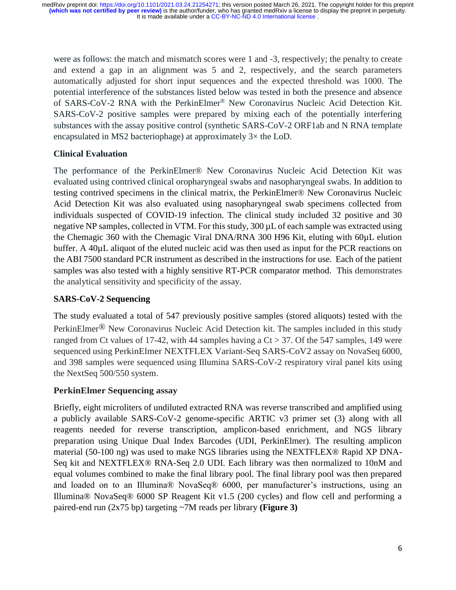were as follows: the match and mismatch scores were 1 and -3, respectively; the penalty to create and extend a gap in an alignment was 5 and 2, respectively, and the search parameters automatically adjusted for short input sequences and the expected threshold was 1000. The potential interference of the substances listed below was tested in both the presence and absence of SARS-CoV-2 RNA with the PerkinElmer® New Coronavirus Nucleic Acid Detection Kit. SARS-CoV-2 positive samples were prepared by mixing each of the potentially interfering substances with the assay positive control (synthetic SARS-CoV-2 ORF1ab and N RNA template encapsulated in MS2 bacteriophage) at approximately 3× the LoD.

# **Clinical Evaluation**

The performance of the PerkinElmer® New Coronavirus Nucleic Acid Detection Kit was evaluated using contrived clinical oropharyngeal swabs and nasopharyngeal swabs. In addition to testing contrived specimens in the clinical matrix, the PerkinElmer® New Coronavirus Nucleic Acid Detection Kit was also evaluated using nasopharyngeal swab specimens collected from individuals suspected of COVID-19 infection. The clinical study included 32 positive and 30 negative NP samples, collected in VTM. For this study, 300 µL of each sample was extracted using the Chemagic 360 with the Chemagic Viral DNA/RNA 300 H96 Kit, eluting with 60µL elution buffer. A 40µL aliquot of the eluted nucleic acid was then used as input for the PCR reactions on the ABI 7500 standard PCR instrument as described in the instructions for use. Each of the patient samples was also tested with a highly sensitive RT-PCR comparator method. This demonstrates the analytical sensitivity and specificity of the assay.

# **SARS-CoV-2 Sequencing**

The study evaluated a total of 547 previously positive samples (stored aliquots) tested with the PerkinElmer® New Coronavirus Nucleic Acid Detection kit. The samples included in this study ranged from Ct values of 17-42, with 44 samples having a  $Ct > 37$ . Of the 547 samples, 149 were sequenced using PerkinElmer NEXTFLEX Variant-Seq SARS-CoV2 assay on NovaSeq 6000, and 398 samples were sequenced using Illumina SARS-CoV-2 respiratory viral panel kits using the NextSeq 500/550 system.

# **PerkinElmer Sequencing assay**

Briefly, eight microliters of undiluted extracted RNA was reverse transcribed and amplified using a publicly available SARS-CoV-2 genome-specific ARTIC v3 primer set (3) along with all reagents needed for reverse transcription, amplicon-based enrichment, and NGS library preparation using Unique Dual Index Barcodes (UDI, PerkinElmer). The resulting amplicon material (50-100 ng) was used to make NGS libraries using the NEXTFLEX® Rapid XP DNA-Seq kit and NEXTFLEX® RNA-Seq 2.0 UDI. Each library was then normalized to 10nM and equal volumes combined to make the final library pool. The final library pool was then prepared and loaded on to an Illumina® NovaSeq® 6000, per manufacturer's instructions, using an Illumina® NovaSeq® 6000 SP Reagent Kit v1.5 (200 cycles) and flow cell and performing a paired-end run (2x75 bp) targeting ~7M reads per library **(Figure 3)**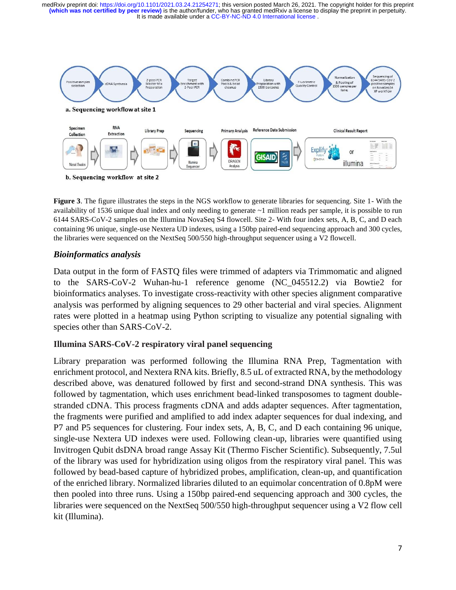

**Figure 3**. The figure illustrates the steps in the NGS workflow to generate libraries for sequencing. Site 1- With the availability of 1536 unique dual index and only needing to generate ~1 million reads per sample, it is possible to run 6144 SARS-CoV-2 samples on the Illumina NovaSeq S4 flowcell. Site 2- With four index sets, A, B, C, and D each containing 96 unique, single-use Nextera UD indexes, using a 150bp paired-end sequencing approach and 300 cycles, the libraries were sequenced on the NextSeq 500/550 high-throughput sequencer using a V2 flowcell.

#### *Bioinformatics analysis*

Data output in the form of FASTQ files were trimmed of adapters via Trimmomatic and aligned to the SARS-CoV-2 Wuhan-hu-1 reference genome (NC\_045512.2) via Bowtie2 for bioinformatics analyses. To investigate cross-reactivity with other species alignment comparative analysis was performed by aligning sequences to 29 other bacterial and viral species. Alignment rates were plotted in a heatmap using Python scripting to visualize any potential signaling with species other than SARS-CoV-2.

# **Illumina SARS-CoV-2 respiratory viral panel sequencing**

Library preparation was performed following the Illumina RNA Prep, Tagmentation with enrichment protocol, and Nextera RNA kits. Briefly, 8.5 uL of extracted RNA, by the methodology described above, was denatured followed by first and second-strand DNA synthesis. This was followed by tagmentation, which uses enrichment bead-linked transposomes to tagment doublestranded cDNA. This process fragments cDNA and adds adapter sequences. After tagmentation, the fragments were purified and amplified to add index adapter sequences for dual indexing, and P7 and P5 sequences for clustering. Four index sets, A, B, C, and D each containing 96 unique, single-use Nextera UD indexes were used. Following clean-up, libraries were quantified using Invitrogen Qubit dsDNA broad range Assay Kit (Thermo Fischer Scientific). Subsequently, 7.5ul of the library was used for hybridization using oligos from the respiratory viral panel. This was followed by bead-based capture of hybridized probes, amplification, clean-up, and quantification of the enriched library. Normalized libraries diluted to an equimolar concentration of 0.8pM were then pooled into three runs. Using a 150bp paired-end sequencing approach and 300 cycles, the libraries were sequenced on the NextSeq 500/550 high-throughput sequencer using a V2 flow cell kit (Illumina).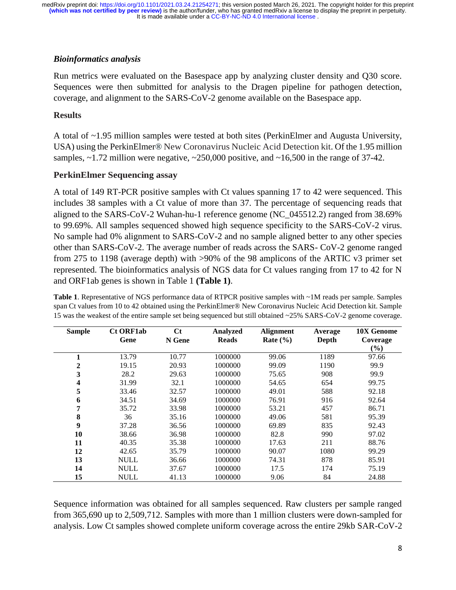### *Bioinformatics analysis*

Run metrics were evaluated on the Basespace app by analyzing cluster density and Q30 score. Sequences were then submitted for analysis to the Dragen pipeline for pathogen detection, coverage, and alignment to the SARS-CoV-2 genome available on the Basespace app.

### **Results**

A total of ~1.95 million samples were tested at both sites (PerkinElmer and Augusta University, USA) using the PerkinElmer® New Coronavirus Nucleic Acid Detection kit. Of the 1.95 million samples, ~1.72 million were negative, ~250,000 positive, and ~16,500 in the range of 37-42.

### **PerkinElmer Sequencing assay**

A total of 149 RT-PCR positive samples with Ct values spanning 17 to 42 were sequenced. This includes 38 samples with a Ct value of more than 37. The percentage of sequencing reads that aligned to the SARS-CoV-2 Wuhan-hu-1 reference genome (NC\_045512.2) ranged from 38.69% to 99.69%. All samples sequenced showed high sequence specificity to the SARS-CoV-2 virus. No sample had 0% alignment to SARS-CoV-2 and no sample aligned better to any other species other than SARS-CoV-2. The average number of reads across the SARS- CoV-2 genome ranged from 275 to 1198 (average depth) with >90% of the 98 amplicons of the ARTIC v3 primer set represented. The bioinformatics analysis of NGS data for Ct values ranging from 17 to 42 for N and ORF1ab genes is shown in Table 1 **(Table 1)**.

**Table 1**. Representative of NGS performance data of RTPCR positive samples with ~1M reads per sample. Samples span Ct values from 10 to 42 obtained using the PerkinElmer® New Coronavirus Nucleic Acid Detection kit. Sample 15 was the weakest of the entire sample set being sequenced but still obtained ~25% SARS-CoV-2 genome coverage.

| <b>Sample</b> | <b>Ct ORF1ab</b> | Ct     | Analyzed     | <b>Alignment</b> | Average | 10X Genome |
|---------------|------------------|--------|--------------|------------------|---------|------------|
|               | Gene             | N Gene | <b>Reads</b> | Rate $(\% )$     | Depth   | Coverage   |
|               |                  |        |              |                  |         | $(\%)$     |
|               | 13.79            | 10.77  | 1000000      | 99.06            | 1189    | 97.66      |
| 2             | 19.15            | 20.93  | 1000000      | 99.09            | 1190    | 99.9       |
| 3             | 28.2             | 29.63  | 1000000      | 75.65            | 908     | 99.9       |
| 4             | 31.99            | 32.1   | 1000000      | 54.65            | 654     | 99.75      |
| 5             | 33.46            | 32.57  | 1000000      | 49.01            | 588     | 92.18      |
| 6             | 34.51            | 34.69  | 1000000      | 76.91            | 916     | 92.64      |
| 7             | 35.72            | 33.98  | 1000000      | 53.21            | 457     | 86.71      |
| 8             | 36               | 35.16  | 1000000      | 49.06            | 581     | 95.39      |
| 9             | 37.28            | 36.56  | 1000000      | 69.89            | 835     | 92.43      |
| 10            | 38.66            | 36.98  | 1000000      | 82.8             | 990     | 97.02      |
| 11            | 40.35            | 35.38  | 1000000      | 17.63            | 211     | 88.76      |
| 12            | 42.65            | 35.79  | 1000000      | 90.07            | 1080    | 99.29      |
| 13            | NULL             | 36.66  | 1000000      | 74.31            | 878     | 85.91      |
| 14            | <b>NULL</b>      | 37.67  | 1000000      | 17.5             | 174     | 75.19      |
| 15            | <b>NULL</b>      | 41.13  | 1000000      | 9.06             | 84      | 24.88      |

Sequence information was obtained for all samples sequenced. Raw clusters per sample ranged from 365,690 up to 2,509,712. Samples with more than 1 million clusters were down-sampled for analysis. Low Ct samples showed complete uniform coverage across the entire 29kb SAR-CoV-2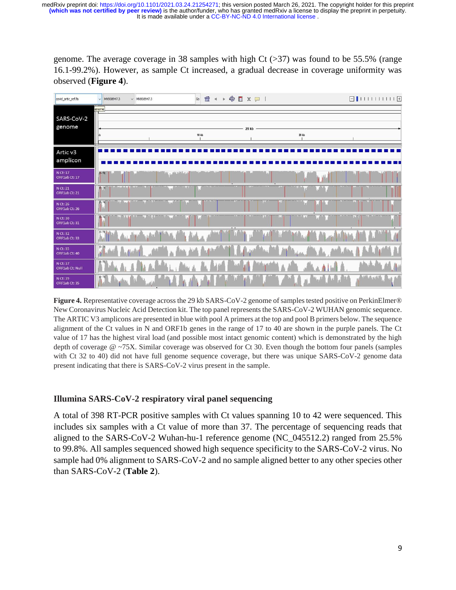genome. The average coverage in 38 samples with high Ct  $(>37)$  was found to be 55.5% (range 16.1-99.2%). However, as sample Ct increased, a gradual decrease in coverage uniformity was observed (**Figure 4**).

| covid_artic_ref.fa          | MN908947.3<br>$\ddot{ }$            | $\vee$ MN908947.3 | Go             |                | $f \rightarrow \phi \Box x \Box$ |               |                       |               |  |
|-----------------------------|-------------------------------------|-------------------|----------------|----------------|----------------------------------|---------------|-----------------------|---------------|--|
| SARS-CoV-2<br>genome        | enome<br>kb                         |                   | 10 kb          |                | 29 kb                            |               | 20 kb                 |               |  |
| Artic v3<br>amplicon        |                                     |                   |                |                |                                  |               |                       |               |  |
| N Ct: 17<br>ORF1ab Ct: 17   | $(0 - 74)$                          |                   | iai , maskista |                |                                  |               |                       |               |  |
| N Ct: 21<br>ORF1ab Ct: 21   | Matalladia<br>$[4 - 73]$            |                   | <b>USLOS</b>   |                |                                  |               |                       |               |  |
| N Ct: 26<br>ORF1ab Ct: 26   | <b>La din  14</b><br>$19 - 74$      |                   |                |                |                                  | ïМ            | <b>MALINA</b><br>l mi |               |  |
| N Ct: 30<br>ORF1ab Ct: 31   | <b>時</b> 74<br><b>John Ark</b><br>Ш |                   |                |                | $\overline{1}$                   | li Jud<br>llы |                       | ы             |  |
| N Ct: 32<br>ORF1ab Ct: 33   | $[0 - 73]$                          |                   |                | <b>British</b> |                                  |               |                       |               |  |
| N Ct: 35<br>ORF1ab Ct: 40   | $[0 - 73]$                          |                   |                |                |                                  |               |                       |               |  |
| N Ct: 37<br>ORF1ab Ct: Null | $[0 - 72]$                          |                   |                |                | 148                              |               |                       |               |  |
| N Ct: 39<br>ORF1ab Ct: 35   | $[0 - 73]$                          |                   |                |                |                                  |               |                       | المزمر فيكتلو |  |

**Figure 4.** Representative coverage across the 29 kb SARS-CoV-2 genome of samples tested positive on PerkinElmer® New Coronavirus Nucleic Acid Detection kit. The top panel represents the SARS-CoV-2 WUHAN genomic sequence. The ARTIC V3 amplicons are presented in blue with pool A primers at the top and pool B primers below. The sequence alignment of the Ct values in N and ORF1b genes in the range of 17 to 40 are shown in the purple panels. The Ct value of 17 has the highest viral load (and possible most intact genomic content) which is demonstrated by the high depth of coverage @ ~75X. Similar coverage was observed for Ct 30. Even though the bottom four panels (samples with Ct 32 to 40) did not have full genome sequence coverage, but there was unique SARS-CoV-2 genome data present indicating that there is SARS-CoV-2 virus present in the sample.

#### **Illumina SARS-CoV-2 respiratory viral panel sequencing**

A total of 398 RT-PCR positive samples with Ct values spanning 10 to 42 were sequenced. This includes six samples with a Ct value of more than 37. The percentage of sequencing reads that aligned to the SARS-CoV-2 Wuhan-hu-1 reference genome (NC\_045512.2) ranged from 25.5% to 99.8%. All samples sequenced showed high sequence specificity to the SARS-CoV-2 virus. No sample had 0% alignment to SARS-CoV-2 and no sample aligned better to any other species other than SARS-CoV-2 (**Table 2**).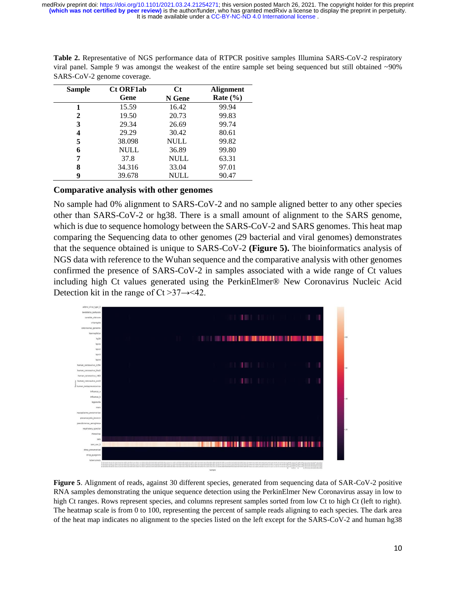| <b>Sample</b> | <b>Ct ORF1ab</b> | <b>Ct</b>   | <b>Alignment</b> |  |
|---------------|------------------|-------------|------------------|--|
|               | Gene             | N Gene      | Rate $(\% )$     |  |
|               | 15.59            | 16.42       | 99.94            |  |
| 2             | 19.50            | 20.73       | 99.83            |  |
| 3             | 29.34            | 26.69       | 99.74            |  |
| 4             | 29.29            | 30.42       | 80.61            |  |
| 5             | 38.098           | <b>NULL</b> | 99.82            |  |
| 6             | <b>NULL</b>      | 36.89       | 99.80            |  |
| 7             | 37.8             | <b>NULL</b> | 63.31            |  |
| 8             | 34.316           | 33.04       | 97.01            |  |
| 9             | 39.678           | <b>NULL</b> | 90.47            |  |

Table 2. Representative of NGS performance data of RTPCR positive samples Illumina SARS-CoV-2 respiratory viral panel. Sample 9 was amongst the weakest of the entire sample set being sequenced but still obtained ~90% SARS-CoV-2 genome coverage.

#### **Comparative analysis with other genomes**

No sample had 0% alignment to SARS-CoV-2 and no sample aligned better to any other species other than SARS-CoV-2 or hg38. There is a small amount of alignment to the SARS genome, which is due to sequence homology between the SARS-CoV-2 and SARS genomes. This heat map comparing the Sequencing data to other genomes (29 bacterial and viral genomes) demonstrates that the sequence obtained is unique to SARS-CoV-2 **(Figure 5).** The bioinformatics analysis of NGS data with reference to the Wuhan sequence and the comparative analysis with other genomes confirmed the presence of SARS-CoV-2 in samples associated with a wide range of Ct values including high Ct values generated using the PerkinElmer® New Coronavirus Nucleic Acid Detection kit in the range of  $Ct > 37 \rightarrow 42$ .



**Figure 5**. Alignment of reads, against 30 different species, generated from sequencing data of SAR-CoV-2 positive RNA samples demonstrating the unique sequence detection using the PerkinElmer New Coronavirus assay in low to high Ct ranges. Rows represent species, and columns represent samples sorted from low Ct to high Ct (left to right). The heatmap scale is from 0 to 100, representing the percent of sample reads aligning to each species. The dark area of the heat map indicates no alignment to the species listed on the left except for the SARS-CoV-2 and human hg38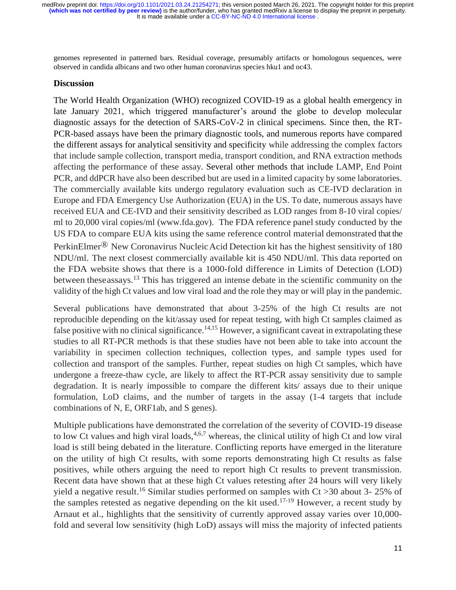genomes represented in patterned bars. Residual coverage, presumably artifacts or homologous sequences, were observed in candida albicans and two other human coronavirus species hku1 and oc43.

#### **Discussion**

The World Health Organization (WHO) recognized COVID-19 as a global health emergency in late January 2021, which triggered manufacturer's around the globe to develop molecular diagnostic assays for the detection of SARS-CoV-2 in clinical specimens. Since then, the RT-PCR-based assays have been the primary diagnostic tools, and numerous reports have compared the different assays for analytical sensitivity and specificity while addressing the complex factors that include sample collection, transport media, transport condition, and RNA extraction methods affecting the performance of these assay. Several other methods that include LAMP, End Point PCR, and ddPCR have also been described but are used in a limited capacity by some laboratories. The commercially available kits undergo regulatory evaluation such as CE-IVD declaration in Europe and FDA Emergency Use Authorization (EUA) in the US. To date, numerous assays have received EUA and CE-IVD and their sensitivity described as LOD ranges from 8-10 viral copies/ ml to 20,000 viral copies/ml (www.fda.gov). The FDA reference panel study conducted by the US FDA to compare EUA kits using the same reference control material demonstrated that the PerkinElmer® New Coronavirus NucleicAcid Detection kit has the highest sensitivity of 180 NDU/ml. The next closest commercially available kit is 450 NDU/ml. This data reported on the FDA website shows that there is a 1000-fold difference in Limits of Detection (LOD) between theseassays.<sup>13</sup> This has triggered an intense debate in the scientific community on the validity of the high Ct values and low viral load and the role they may or will play in the pandemic.

Several publications have demonstrated that about 3-25% of the high Ct results are not reproducible depending on the kit/assay used for repeat testing, with high Ct samples claimed as false positive with no clinical significance.<sup>14,15</sup> However, a significant caveat in extrapolating these studies to all RT-PCR methods is that these studies have not been able to take into account the variability in specimen collection techniques, collection types, and sample types used for collection and transport of the samples. Further, repeat studies on high Ct samples, which have undergone a freeze-thaw cycle, are likely to affect the RT-PCR assay sensitivity due to sample degradation. It is nearly impossible to compare the different kits/ assays due to their unique formulation, LoD claims, and the number of targets in the assay (1-4 targets that include combinations of N, E, ORF1ab, and S genes).

Multiple publications have demonstrated the correlation of the severity of COVID-19 disease to low Ct values and high viral loads,  $4,6,7$  whereas, the clinical utility of high Ct and low viral load is still being debated in the literature. Conflicting reports have emerged in the literature on the utility of high Ct results, with some reports demonstrating high Ct results as false positives, while others arguing the need to report high Ct results to prevent transmission. Recent data have shown that at these high Ct values retesting after 24 hours will very likely yield a negative result.<sup>16</sup> Similar studies performed on samples with  $Ct > 30$  about 3-25% of the samples retested as negative depending on the kit used.<sup>17-19</sup> However, a recent study by Arnaut et al., highlights that the sensitivity of currently approved assay varies over 10,000 fold and several low sensitivity (high LoD) assays will miss the majority of infected patients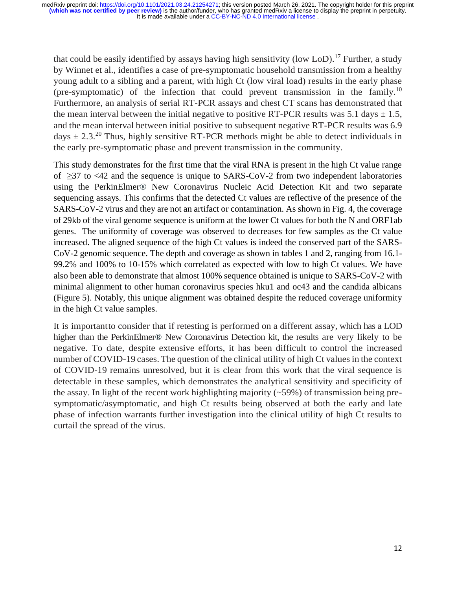that could be easily identified by assays having high sensitivity (low LoD).<sup>17</sup> Further, a study by Winnet et al., identifies a case of pre-symptomatic household transmission from a healthy young adult to a sibling and a parent, with high Ct (low viral load) results in the early phase (pre-symptomatic) of the infection that could prevent transmission in the family. 10 Furthermore, an analysis of serial RT-PCR assays and chest CT scans has demonstrated that the mean interval between the initial negative to positive RT-PCR results was 5.1 days  $\pm$  1.5, and the mean interval between initial positive to subsequent negative RT-PCR results was 6.9 days  $\pm$  2.3.<sup>20</sup> Thus, highly sensitive RT-PCR methods might be able to detect individuals in the early pre-symptomatic phase and prevent transmission in the community.

This study demonstrates for the first time that the viral RNA is present in the high Ct value range of  $\geq$ 37 to <42 and the sequence is unique to SARS-CoV-2 from two independent laboratories using the PerkinElmer® New Coronavirus Nucleic Acid Detection Kit and two separate sequencing assays. This confirms that the detected Ct values are reflective of the presence of the SARS-CoV-2 virus and they are not an artifact or contamination. As shown in Fig. 4, the coverage of 29kb of the viral genome sequence is uniform at the lower Ct values for both the N and ORF1ab genes. The uniformity of coverage was observed to decreases for few samples as the Ct value increased. The aligned sequence of the high Ct values is indeed the conserved part of the SARS-CoV-2 genomic sequence. The depth and coverage as shown in tables 1 and 2, ranging from 16.1- 99.2% and 100% to 10-15% which correlated as expected with low to high Ct values. We have also been able to demonstrate that almost 100% sequence obtained is unique to SARS-CoV-2 with minimal alignment to other human coronavirus species hku1 and oc43 and the candida albicans (Figure 5). Notably, this unique alignment was obtained despite the reduced coverage uniformity in the high Ct value samples.

It is importantto consider that if retesting is performed on a different assay, which has a LOD higher than the PerkinElmer® New Coronavirus Detection kit, the results are very likely to be negative. To date, despite extensive efforts, it has been difficult to control the increased number of COVID-19 cases. The question of the clinical utility of high Ct values in the context of COVID-19 remains unresolved, but it is clear from this work that the viral sequence is detectable in these samples, which demonstrates the analytical sensitivity and specificity of the assay. In light of the recent work highlighting majority  $(\sim 59\%)$  of transmission being presymptomatic/asymptomatic, and high Ct results being observed at both the early and late phase of infection warrants further investigation into the clinical utility of high Ct results to curtail the spread of the virus.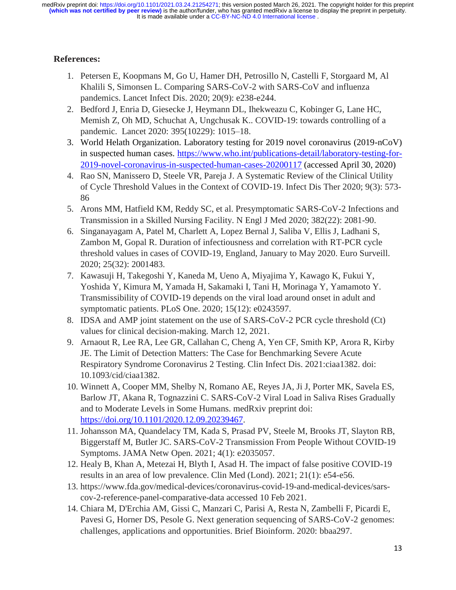# **References:**

- 1. Petersen E, Koopmans M, Go U, Hamer DH, Petrosillo N, Castelli F, Storgaard M, Al Khalili S, Simonsen L. Comparing SARS-CoV-2 with SARS-CoV and influenza pandemics. Lancet Infect Dis. 2020; 20(9): e238-e244.
- 2. Bedford J, Enria D, Giesecke J, Heymann DL, Ihekweazu C, Kobinger G, Lane HC, Memish Z, Oh MD, Schuchat A, Ungchusak K.. COVID-19: towards controlling of a pandemic. Lancet 2020: 395(10229): 1015–18.
- 3. World Helath Organization. Laboratory testing for 2019 novel coronavirus (2019-nCoV) in suspected human cases. [https://www.who.int/publications-detail/laboratory-testing-for-](https://www.who.int/publications-detail/laboratory-testing-for-2019-novel-coronavirus-in-suspected-human-cases-20200117)[2019-novel-coronavirus-in-suspected-human-cases-20200117](https://www.who.int/publications-detail/laboratory-testing-for-2019-novel-coronavirus-in-suspected-human-cases-20200117) (accessed April 30, 2020)
- 4. Rao SN, Manissero D, Steele VR, Pareja J. A Systematic Review of the Clinical Utility of Cycle Threshold Values in the Context of COVID-19. Infect Dis Ther 2020; 9(3): 573- 86
- 5. Arons MM, Hatfield KM, Reddy SC, et al. Presymptomatic SARS-CoV-2 Infections and Transmission in a Skilled Nursing Facility. N Engl J Med 2020; 382(22): 2081-90.
- 6. Singanayagam A, Patel M, Charlett A, Lopez Bernal J, Saliba V, Ellis J, Ladhani S, Zambon M, Gopal R. Duration of infectiousness and correlation with RT-PCR cycle threshold values in cases of COVID-19, England, January to May 2020. Euro Surveill. 2020; 25(32): 2001483.
- 7. Kawasuji H, Takegoshi Y, Kaneda M, Ueno A, Miyajima Y, Kawago K, Fukui Y, Yoshida Y, Kimura M, Yamada H, Sakamaki I, Tani H, Morinaga Y, Yamamoto Y. Transmissibility of COVID-19 depends on the viral load around onset in adult and symptomatic patients. PLoS One. 2020; 15(12): e0243597.
- 8. IDSA and AMP joint statement on the use of SARS-CoV-2 PCR cycle threshold (Ct) values for clinical decision-making. March 12, 2021.
- 9. Arnaout R, Lee RA, Lee GR, Callahan C, Cheng A, Yen CF, Smith KP, Arora R, Kirby JE. The Limit of Detection Matters: The Case for Benchmarking Severe Acute Respiratory Syndrome Coronavirus 2 Testing. Clin Infect Dis. 2021:ciaa1382. doi: 10.1093/cid/ciaa1382.
- 10. Winnett A, Cooper MM, Shelby N, Romano AE, Reyes JA, Ji J, Porter MK, Savela ES, Barlow JT, Akana R, Tognazzini C. SARS-CoV-2 Viral Load in Saliva Rises Gradually and to Moderate Levels in Some Humans. medRxiv preprint doi: [https://doi.org/10.1101/2020.12.09.20239467.](https://doi.org/10.1101/2020.12.09.20239467)
- 11. Johansson MA, Quandelacy TM, Kada S, Prasad PV, Steele M, Brooks JT, Slayton RB, Biggerstaff M, Butler JC. SARS-CoV-2 Transmission From People Without COVID-19 Symptoms. JAMA Netw Open. 2021; 4(1): e2035057.
- 12. Healy B, Khan A, Metezai H, Blyth I, Asad H. The impact of false positive COVID-19 results in an area of low prevalence. Clin Med (Lond). 2021; 21(1): e54-e56.
- 13. https://www.fda.gov/medical-devices/coronavirus-covid-19-and-medical-devices/sarscov-2-reference-panel-comparative-data accessed 10 Feb 2021.
- 14. Chiara M, D'Erchia AM, Gissi C, Manzari C, Parisi A, Resta N, Zambelli F, Picardi E, Pavesi G, Horner DS, Pesole G. Next generation sequencing of SARS-CoV-2 genomes: challenges, applications and opportunities. Brief Bioinform. 2020: bbaa297.